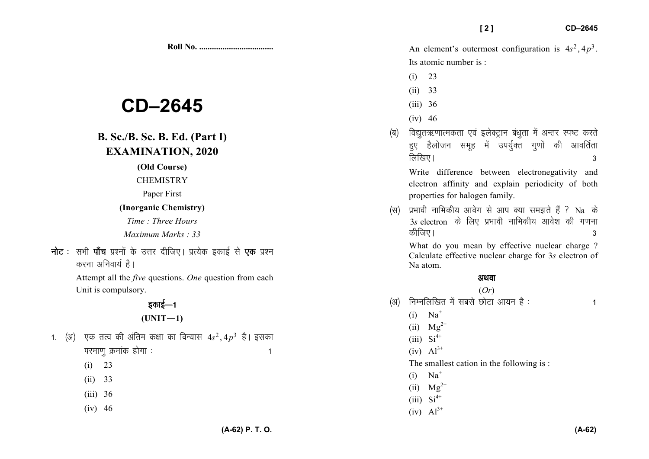# $CD-2645$

## **B. Sc./B. Sc. B. Ed. (Part I) EXAMINATION, 2020**

(Old Course)

#### **CHEMISTRY**

Paper First

#### (Inorganic Chemistry)

Time: Three Hours

Maximum Marks: 33

**नोट** : सभी **पाँच** प्रश्नों के उत्तर दीजिए। प्रत्येक इकाई से **एक** प्रश्न करना अनिवार्य है।

> Attempt all the *five* questions. One question from each Unit is compulsory.

# इकाई—1

### $(UNIT-1)$

- 1. (अ) एक तत्व की अंतिम कक्षा का विन्यास  $4s^2, 4p^3$  है। इसका परमाणु क्रमांक होगा :  $\blacktriangleleft$ 
	- $(i) 23$
	- $(ii) 33$
	- $(iii)$  36
	- $(iv)$  46

An element's outermost configuration is  $4s^2$ ,  $4p^3$ . Its atomic number is:

 $121$ 

- $(i) 23$
- $(ii)$  33
- $(iii)$  36
- $(iv)$  46
- विद्युतऋणात्मकता एवं इलेक्ट्रान बंधुता में अन्तर स्पष्ट करते (ৰ) हुए हैलोजन समुह में उपर्युक्त गुणों की आवर्तिता लिखिए।  $\overline{3}$

Write difference between electronegativity and electron affinity and explain periodicity of both properties for halogen family.

प्रभावी नाभिकीय आवेग से आप क्या समझते हैं ? Na के  $(F)$  $3s$  electron के लिए प्रभावी नाभिकीय आवेश की गणना कीजिए।  $\mathbf{3}$ 

What do you mean by effective nuclear charge? Calculate effective nuclear charge for 3s electron of Na atom.

### अथवा

### $(Or)$

- निम्नलिखित में सबसे छोटा आयन है :  $(3)$ 
	- $(i)$  Na<sup>+</sup>
	- (ii)  $Mg^{2+}$
	- $(iii)$   $Si<sup>4+</sup>$
	- $(iv)$   $Al^{3+}$
	- The smallest cation in the following is:
	- $(i)$  Na<sup>+</sup>
	- (ii)  $Mg^{2+}$
	- $(iii)$   $Si^{4+}$
	- $(iv)$   $Al^{3+}$

 $\mathbf{1}$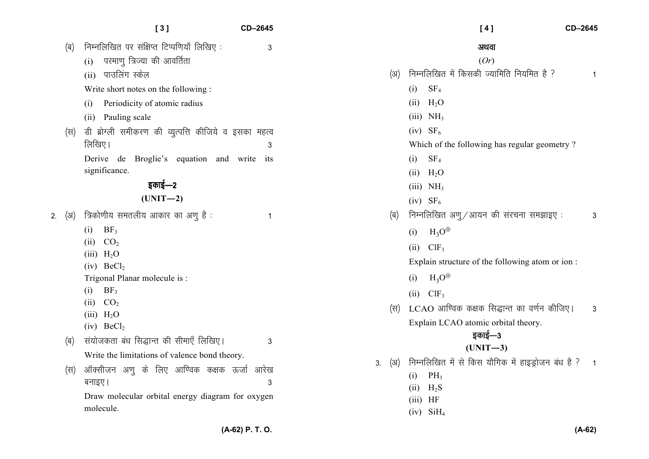|    |            | [3]                                                                                                                                                                                                                                                                                      | CD-2645 |                       | [4]                                                                                                                                                                                                                                                                                                           | CD-2645        |
|----|------------|------------------------------------------------------------------------------------------------------------------------------------------------------------------------------------------------------------------------------------------------------------------------------------------|---------|-----------------------|---------------------------------------------------------------------------------------------------------------------------------------------------------------------------------------------------------------------------------------------------------------------------------------------------------------|----------------|
|    | (ৰ)        | निम्नलिखित पर संक्षिप्त टिप्पणियाँ लिखिए:<br>परमाणु त्रिज्या की आवर्तिता<br>(i)                                                                                                                                                                                                          | 3       |                       | अथवा<br>(Or)                                                                                                                                                                                                                                                                                                  |                |
|    | (स)        | पाउलिंग स्केल<br>(ii)<br>Write short notes on the following:<br>Periodicity of atomic radius<br>(1)<br>Pauling scale<br>(ii)<br>डी ब्रोग्ली समीकरण की व्युत्पत्ति कीजिये व इसका महत्व<br>लिखिए।<br>Derive de Broglie's equation and write its<br>significance.<br>इकाई—2<br>$(UNIT-2)$   | 3       | (अ)                   | निम्नलिखित में किसकी ज्यामिति नियमित है ?<br>SF <sub>4</sub><br>(i)<br>$(ii)$ H <sub>2</sub> O<br>$(iii)$ NH <sub>3</sub><br>$(iv)$ SF <sub>6</sub><br>Which of the following has regular geometry?<br>SF <sub>4</sub><br>(i)<br>$(ii)$ H <sub>2</sub> O<br>$(iii)$ NH <sub>3</sub><br>$(iv)$ SF <sub>6</sub> | 1              |
| 2. | (अ)        | त्रिकोणीय समतलीय आकार का अणु है :<br>BF <sub>3</sub><br>(i)<br>CO <sub>2</sub><br>(i)<br>$(iii)$ H <sub>2</sub> O<br>$(iv)$ BeCl <sub>2</sub><br>Trigonal Planar molecule is :<br>BF <sub>3</sub><br>(1)<br>(ii) CO <sub>2</sub><br>$(iii)$ H <sub>2</sub> O<br>$(iv)$ BeCl <sub>2</sub> | -1      | (ब)<br>(स)            | निम्नलिखित अणु / आयन की संरचना समझाइए:<br>$H_3O^{\oplus}$<br>(i)<br>$(ii)$ ClF <sub>3</sub><br>Explain structure of the following atom or ion:<br>$H_3O^{\oplus}$<br>(i)<br>$ClF_3$<br>(ii)<br>LCAO आण्विक कक्षक सिद्धान्त का वर्णन कीजिए।<br>Explain LCAO atomic orbital theory.                             | 3<br>3         |
|    | (ৰ)<br>(स) | संयोजकता बंध सिद्धान्त की सीमाएँ लिखिए।<br>Write the limitations of valence bond theory.<br>ऑक्सीजन अणु के लिए आण्विक कक्षक ऊर्जा आरेख<br>बनाइए।<br>Draw molecular orbital energy diagram for oxygen<br>molecule.                                                                        | 3<br>3  | (अ)<br>3 <sub>1</sub> | इकाई—3<br>$(UNIT-3)$<br>निम्नलिखित में से किस यौगिक में हाइड्रोजन बंध है ?<br>$PH_3$<br>(i)<br>$H_2S$<br>(ii)<br>$(iii)$ HF<br>$(iv)$ SiH <sub>4</sub>                                                                                                                                                        | $\overline{1}$ |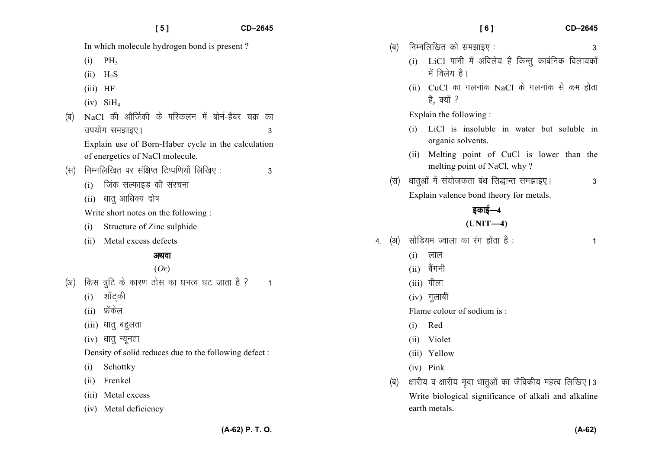|     |                                                       | In which molecule hydrogen bond is present?        |    |  |  |
|-----|-------------------------------------------------------|----------------------------------------------------|----|--|--|
|     | (i)                                                   | $PH_3$                                             |    |  |  |
|     |                                                       | $(ii)$ H <sub>2</sub> S                            |    |  |  |
|     | (iii)                                                 | HF                                                 |    |  |  |
|     |                                                       | $(iv)$ SiH <sub>4</sub>                            |    |  |  |
| (ब) |                                                       | NaCl की और्जिकी के परिकलन में बोर्न-हैबर चक्र      | का |  |  |
|     |                                                       | उपयोग समझाइए।                                      | 3  |  |  |
|     |                                                       | Explain use of Born-Haber cycle in the calculation |    |  |  |
|     |                                                       | of energetics of NaCl molecule.                    |    |  |  |
| (स) | निम्नलिखित पर संक्षिप्त टिप्पणियाँ लिखिए:             |                                                    |    |  |  |
|     | (i)                                                   | जिंक सल्फाइड की संरचना                             |    |  |  |
|     |                                                       | (ii) धातु आधिक्य दोष                               |    |  |  |
|     | Write short notes on the following:                   |                                                    |    |  |  |
|     | (i)                                                   | Structure of Zinc sulphide                         |    |  |  |
|     |                                                       | (ii) Metal excess defects                          |    |  |  |
|     |                                                       | अथवा                                               |    |  |  |
|     |                                                       | (Or)                                               |    |  |  |
| (अ) |                                                       | किस त्रुटि के कारण ठोस का घनत्व घट जाता है ?       | 1  |  |  |
|     |                                                       | (i) शॉट्की                                         |    |  |  |
|     |                                                       | (ii) फ्रेंकेल                                      |    |  |  |
|     |                                                       | (iii) धातु बहुलता                                  |    |  |  |
|     |                                                       | (iv) धातु न्यूनता                                  |    |  |  |
|     | Density of solid reduces due to the following defect: |                                                    |    |  |  |
|     | (i)                                                   | Schottky                                           |    |  |  |

- (ii) Frenkel
- (iii) Metal excess
- (iv) Metal deficiency

|                  | (ब)                                                  | निम्नलिखित को समझाइए :<br>3                                                    |  |  |  |  |
|------------------|------------------------------------------------------|--------------------------------------------------------------------------------|--|--|--|--|
|                  |                                                      | LiCl पानी में अविलेय है किन्तु कार्बनिक विलायकों<br>(i)<br>में विलेय है।       |  |  |  |  |
|                  |                                                      | CuCl का गलनांक NaCl के गलनांक से कम होता<br>(ii)<br>है, क्यों ?                |  |  |  |  |
|                  |                                                      | Explain the following:                                                         |  |  |  |  |
|                  |                                                      | LiCl is insoluble in water but soluble<br>(i)<br>in<br>organic solvents.       |  |  |  |  |
|                  |                                                      | Melting point of CuCl is lower than the<br>(ii)<br>melting point of NaCl, why? |  |  |  |  |
|                  | (स)                                                  | धातुओं में संयोजकता बंध सिद्धान्त समझाइए।<br>3                                 |  |  |  |  |
|                  |                                                      | Explain valence bond theory for metals.                                        |  |  |  |  |
|                  |                                                      | इकाई—4                                                                         |  |  |  |  |
|                  |                                                      | $(UNIT-4)$                                                                     |  |  |  |  |
| $\overline{4}$ . | (3)                                                  | सोडियम ज्वाला का रंग होता है:<br>1                                             |  |  |  |  |
|                  |                                                      | (i)<br>लाल                                                                     |  |  |  |  |
|                  |                                                      | (ii) बैंगनी                                                                    |  |  |  |  |
|                  |                                                      | (iii) पीला                                                                     |  |  |  |  |
|                  |                                                      | $(iv)$ गुलाबी                                                                  |  |  |  |  |
|                  |                                                      | Flame colour of sodium is:                                                     |  |  |  |  |
|                  |                                                      | (i)<br>Red                                                                     |  |  |  |  |
|                  |                                                      | (ii) Violet                                                                    |  |  |  |  |
|                  |                                                      | (iii) Yellow                                                                   |  |  |  |  |
|                  |                                                      | (iv) Pink                                                                      |  |  |  |  |
|                  | (ब)                                                  | क्षारीय व क्षारीय मृदा धातुओं का जैविकीय महत्व लिखिए।3                         |  |  |  |  |
|                  | Write biological significance of alkali and alkaline |                                                                                |  |  |  |  |

earth metals.